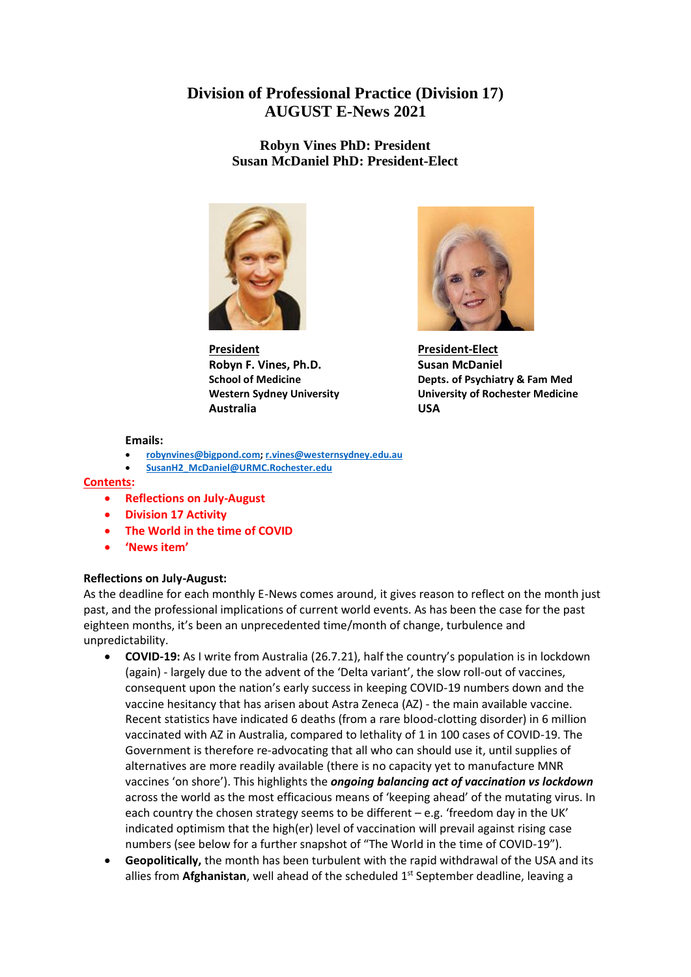# **Division of Professional Practice (Division 17) AUGUST E-News 2021**

**Robyn Vines PhD: President Susan McDaniel PhD: President-Elect**



**President President-Elect Robyn F. Vines, Ph.D.** Susan McDaniel **Australia USA**



**School of Medicine Depts. of Psychiatry & Fam Med Western Sydney University University of Rochester Medicine**

#### **Emails:**

- **[robynvines@bigpond.com;](mailto:robynvines@bigpond.com) [r.vines@westernsydney.edu.au](mailto:r.vines@westernsydney.edu.au)**
- **[SusanH2\\_McDaniel@URMC.Rochester.edu](mailto:SusanH2_McDaniel@URMC.Rochester.edu)**

#### **Contents:**

- **Reflections on July-August**
- **Division 17 Activity**
- **The World in the time of COVID**
- **'News item'**

# **Reflections on July-August:**

As the deadline for each monthly E-News comes around, it gives reason to reflect on the month just past, and the professional implications of current world events. As has been the case for the past eighteen months, it's been an unprecedented time/month of change, turbulence and unpredictability.

- **COVID-19:** As I write from Australia (26.7.21), half the country's population is in lockdown (again) - largely due to the advent of the 'Delta variant', the slow roll-out of vaccines, consequent upon the nation's early success in keeping COVID-19 numbers down and the vaccine hesitancy that has arisen about Astra Zeneca (AZ) - the main available vaccine. Recent statistics have indicated 6 deaths (from a rare blood-clotting disorder) in 6 million vaccinated with AZ in Australia, compared to lethality of 1 in 100 cases of COVID-19. The Government is therefore re-advocating that all who can should use it, until supplies of alternatives are more readily available (there is no capacity yet to manufacture MNR vaccines 'on shore'). This highlights the *ongoing balancing act of vaccination vs lockdown* across the world as the most efficacious means of 'keeping ahead' of the mutating virus. In each country the chosen strategy seems to be different  $-e.g.$  'freedom day in the UK' indicated optimism that the high(er) level of vaccination will prevail against rising case numbers (see below for a further snapshot of "The World in the time of COVID-19").
- **Geopolitically,** the month has been turbulent with the rapid withdrawal of the USA and its allies from Afghanistan, well ahead of the scheduled 1<sup>st</sup> September deadline, leaving a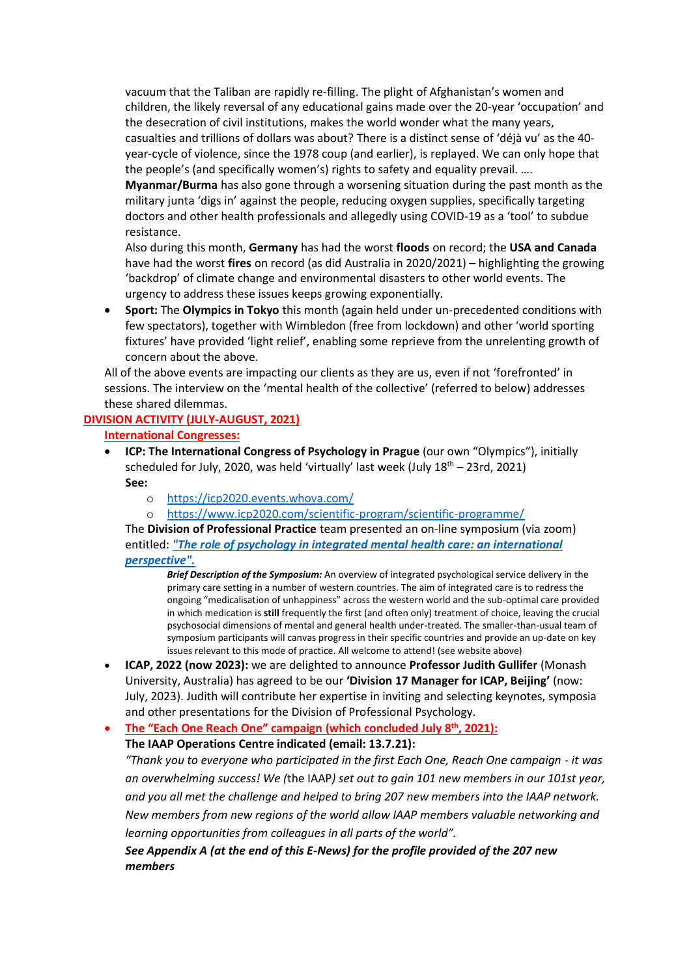vacuum that the Taliban are rapidly re-filling. The plight of Afghanistan's women and children, the likely reversal of any educational gains made over the 20-year 'occupation' and the desecration of civil institutions, makes the world wonder what the many years, casualties and trillions of dollars was about? There is a distinct sense of 'déjà vu' as the 40 year-cycle of violence, since the 1978 coup (and earlier), is replayed. We can only hope that the people's (and specifically women's) rights to safety and equality prevail. ….

**Myanmar/Burma** has also gone through a worsening situation during the past month as the military junta 'digs in' against the people, reducing oxygen supplies, specifically targeting doctors and other health professionals and allegedly using COVID-19 as a 'tool' to subdue resistance.

Also during this month, **Germany** has had the worst **floods** on record; the **USA and Canada** have had the worst **fires** on record (as did Australia in 2020/2021) – highlighting the growing 'backdrop' of climate change and environmental disasters to other world events. The urgency to address these issues keeps growing exponentially.

• **Sport:** The **Olympics in Tokyo** this month (again held under un-precedented conditions with few spectators), together with Wimbledon (free from lockdown) and other 'world sporting fixtures' have provided 'light relief', enabling some reprieve from the unrelenting growth of concern about the above.

All of the above events are impacting our clients as they are us, even if not 'forefronted' in sessions. The interview on the 'mental health of the collective' (referred to below) addresses these shared dilemmas.

# **DIVISION ACTIVITY (JULY-AUGUST, 2021)**

**International Congresses:**

- **ICP: The International Congress of Psychology in Prague** (our own "Olympics"), initially scheduled for July, 2020, was held 'virtually' last week (July  $18<sup>th</sup> - 23$ rd, 2021) **See:** 
	- o <https://icp2020.events.whova.com/>
	- o <https://www.icp2020.com/scientific-program/scientific-programme/>

The **Division of Professional Practice** team presented an on-line symposium (via zoom) entitled: *["The role of psychology in integrated mental health care: an international](https://iaapsy.org/site/assets/files/1222/robyn_vines_presentation_icp2021.pdf)  [perspective".](https://iaapsy.org/site/assets/files/1222/robyn_vines_presentation_icp2021.pdf)* 

*Brief Description of the Symposium:* An overview of integrated psychological service delivery in the primary care setting in a number of western countries. The aim of integrated care is to redress the ongoing "medicalisation of unhappiness" across the western world and the sub-optimal care provided in which medication is **still** frequently the first (and often only) treatment of choice, leaving the crucial psychosocial dimensions of mental and general health under-treated. The smaller-than-usual team of symposium participants will canvas progress in their specific countries and provide an up-date on key issues relevant to this mode of practice. All welcome to attend! (see website above)

- **ICAP, 2022 (now 2023):** we are delighted to announce **Professor Judith Gullifer** (Monash University, Australia) has agreed to be our **'Division 17 Manager for ICAP, Beijing'** (now: July, 2023). Judith will contribute her expertise in inviting and selecting keynotes, symposia and other presentations for the Division of Professional Psychology.
- **The "Each One Reach One" campaign (which concluded July 8th, 2021):**

**The IAAP Operations Centre indicated (email: 13.7.21):** 

"Thank you to everyone who participated in the first Each One, Reach One campaign - it was *an overwhelming success! We (*the IAAP*) set out to gain 101 new members in our 101st year, and you all met the challenge and helped to bring 207 new members into the IAAP network. New members from new regions of the world allow IAAP members valuable networking and learning opportunities from colleagues in all parts of the world".*

*See Appendix A (at the end of this E-News) for the profile provided of the 207 new members*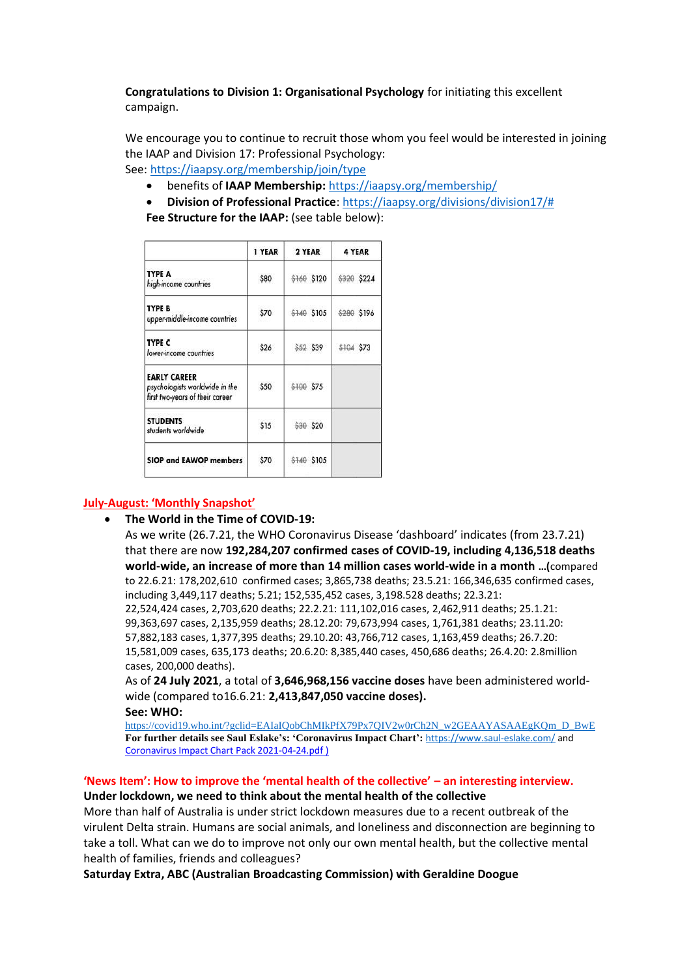**Congratulations to Division 1: Organisational Psychology** for initiating this excellent campaign.

We encourage you to continue to recruit those whom you feel would be interested in joining the IAAP and Division 17: Professional Psychology:

See:<https://iaapsy.org/membership/join/type>

- benefits of **IAAP Membership:** <https://iaapsy.org/membership/>
- **Division of Professional Practice**: [https://iaapsy.org/divisions/division17/#](https://iaapsy.org/divisions/division17/)
- **Fee Structure for the IAAP:** (see table below):

|                                                                                          | 1 YEAR | 2 YEAR      | 4 YEAR      |
|------------------------------------------------------------------------------------------|--------|-------------|-------------|
| <b>TYPE A</b><br>high-income countries                                                   | \$80   | \$160 \$120 | \$320 \$224 |
| TYPE B<br>upper-middle-income countries                                                  | \$70   | \$140 \$105 | \$280 \$196 |
| <b>TYPE C</b><br>lower-income countries                                                  | \$26   | \$52 \$39   | \$104 \$73  |
| <b>EARLY CAREER</b><br>psychologists worldwide in the<br>first two-years of their career | \$50   | \$100 \$75  |             |
| <b>STUDENTS</b><br>students worldwide                                                    | \$15   | \$30 \$20   |             |
| <b>SIOP and EAWOP members</b>                                                            | \$70   | \$140 \$105 |             |

# **July-August: 'Monthly Snapshot'**

• **The World in the Time of COVID-19:** 

As we write (26.7.21, the [WHO Coronavirus Disease 'dashboard'](https://covid19.who.int/) indicates (from 23.7.21) that there are now **192,284,207 confirmed cases of COVID-19, including 4,136,518 deaths world-wide, an increase of more than 14 million cases world-wide in a month …(**compared to 22.6.21: 178,202,610 confirmed cases; 3,865,738 deaths; 23.5.21: 166,346,635 confirmed cases, including 3,449,117 deaths; 5.21; 152,535,452 cases, 3,198.528 deaths; 22.3.21: 22,524,424 cases, 2,703,620 deaths; 22.2.21: 111,102,016 cases, 2,462,911 deaths; 25.1.21: 99,363,697 cases, 2,135,959 deaths; 28.12.20: 79,673,994 cases, 1,761,381 deaths; 23.11.20: 57,882,183 cases, 1,377,395 deaths; 29.10.20: 43,766,712 cases, 1,163,459 deaths; 26.7.20: 15,581,009 cases, 635,173 deaths; 20.6.20: 8,385,440 cases, 450,686 deaths; 26.4.20: 2.8million cases, 200,000 deaths).

As of **24 July 2021**, a total of **3,646,968,156 vaccine doses** have been administered worldwide (compared to16.6.21: **2,413,847,050 vaccine doses).**

#### **See: WHO:**

[https://covid19.who.int/?gclid=EAIaIQobChMIkPfX79Px7QIV2w0rCh2N\\_w2GEAAYASAAEgKQm\\_D\\_BwE](https://covid19.who.int/?gclid=EAIaIQobChMIkPfX79Px7QIV2w0rCh2N_w2GEAAYASAAEgKQm_D_BwE) **For further details see Saul Eslake's: 'Coronavirus Impact Chart':** <https://www.saul-eslake.com/> and [Coronavirus Impact Chart Pack 2021-04-24.pdf](file:///C:/Users/61477/AppData/Local/Microsoft/Windows/INetCache/Content.Outlook/MBGWFIBC/Coronavirus%20Impact%20Chart%20Pack%202021-04-24.pdf) )

# **'News Item': How to improve the 'mental health of the collective' – an interesting interview.**

# **Under lockdown, we need to think about the mental health of the collective**

More than half of Australia is under strict lockdown measures due to a recent outbreak of the virulent Delta strain. Humans are social animals, and loneliness and disconnection are beginning to take a toll. What can we do to improve not only our own mental health, but the collective mental health of families, friends and colleagues?

**Saturday Extra, ABC (Australian Broadcasting Commission) with Geraldine Doogue**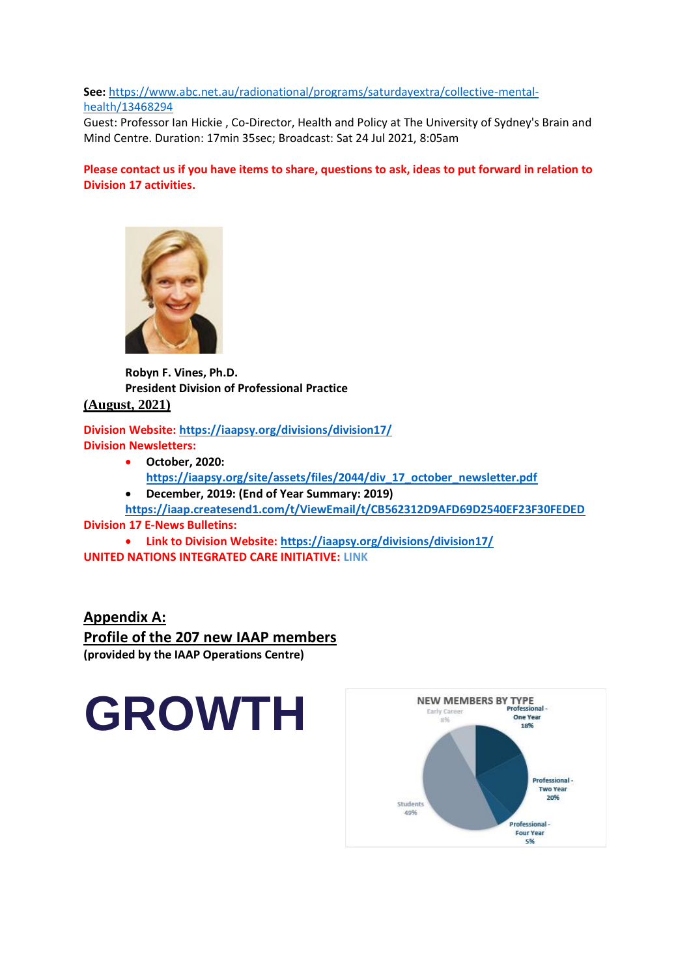# **See:** [https://www.abc.net.au/radionational/programs/saturdayextra/collective-mental](https://www.abc.net.au/radionational/programs/saturdayextra/collective-mental-health/13468294)[health/13468294](https://www.abc.net.au/radionational/programs/saturdayextra/collective-mental-health/13468294)

Guest: Professor Ian Hickie , Co-Director, Health and Policy at The University of Sydney's Brain and Mind Centre. Duration: 17min 35sec; Broadcast: Sat 24 Jul 2021, 8:05am

# **Please contact us if you have items to share, questions to ask, ideas to put forward in relation to Division 17 activities.**



**Robyn F. Vines, Ph.D. President Division of Professional Practice (August, 2021)**

**Division Website:<https://iaapsy.org/divisions/division17/> Division Newsletters:**

- **October, 2020: [https://iaapsy.org/site/assets/files/2044/div\\_17\\_october\\_newsletter.pdf](https://iaapsy.org/site/assets/files/2044/div_17_october_newsletter.pdf)**
	- **December, 2019: (End of Year Summary: 2019)**

**<https://iaap.createsend1.com/t/ViewEmail/t/CB562312D9AFD69D2540EF23F30FEDED> Division 17 E-News Bulletins:**

• **Link to Division Website: <https://iaapsy.org/divisions/division17/> UNITED NATIONS INTEGRATED CARE INITIATIVE: LINK**

**Appendix A: Profile of the 207 new IAAP members (provided by the IAAP Operations Centre)**